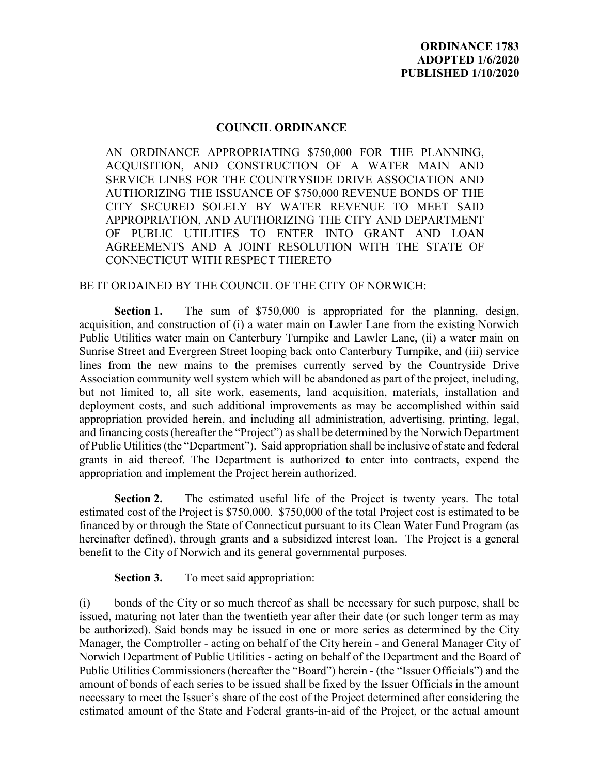## **COUNCIL ORDINANCE**

AN ORDINANCE APPROPRIATING \$750,000 FOR THE PLANNING, ACQUISITION, AND CONSTRUCTION OF A WATER MAIN AND SERVICE LINES FOR THE COUNTRYSIDE DRIVE ASSOCIATION AND AUTHORIZING THE ISSUANCE OF \$750,000 REVENUE BONDS OF THE CITY SECURED SOLELY BY WATER REVENUE TO MEET SAID APPROPRIATION, AND AUTHORIZING THE CITY AND DEPARTMENT OF PUBLIC UTILITIES TO ENTER INTO GRANT AND LOAN AGREEMENTS AND A JOINT RESOLUTION WITH THE STATE OF CONNECTICUT WITH RESPECT THERETO

## BE IT ORDAINED BY THE COUNCIL OF THE CITY OF NORWICH:

**Section 1.** The sum of \$750,000 is appropriated for the planning, design, acquisition, and construction of (i) a water main on Lawler Lane from the existing Norwich Public Utilities water main on Canterbury Turnpike and Lawler Lane, (ii) a water main on Sunrise Street and Evergreen Street looping back onto Canterbury Turnpike, and (iii) service lines from the new mains to the premises currently served by the Countryside Drive Association community well system which will be abandoned as part of the project, including, but not limited to, all site work, easements, land acquisition, materials, installation and deployment costs, and such additional improvements as may be accomplished within said appropriation provided herein, and including all administration, advertising, printing, legal, and financing costs (hereafter the "Project") as shall be determined by the Norwich Department of Public Utilities (the "Department"). Said appropriation shall be inclusive of state and federal grants in aid thereof. The Department is authorized to enter into contracts, expend the appropriation and implement the Project herein authorized.

**Section 2.** The estimated useful life of the Project is twenty years. The total estimated cost of the Project is \$750,000. \$750,000 of the total Project cost is estimated to be financed by or through the State of Connecticut pursuant to its Clean Water Fund Program (as hereinafter defined), through grants and a subsidized interest loan. The Project is a general benefit to the City of Norwich and its general governmental purposes.

**Section 3.** To meet said appropriation:

(i) bonds of the City or so much thereof as shall be necessary for such purpose, shall be issued, maturing not later than the twentieth year after their date (or such longer term as may be authorized). Said bonds may be issued in one or more series as determined by the City Manager, the Comptroller - acting on behalf of the City herein - and General Manager City of Norwich Department of Public Utilities - acting on behalf of the Department and the Board of Public Utilities Commissioners (hereafter the "Board") herein - (the "Issuer Officials") and the amount of bonds of each series to be issued shall be fixed by the Issuer Officials in the amount necessary to meet the Issuer's share of the cost of the Project determined after considering the estimated amount of the State and Federal grants-in-aid of the Project, or the actual amount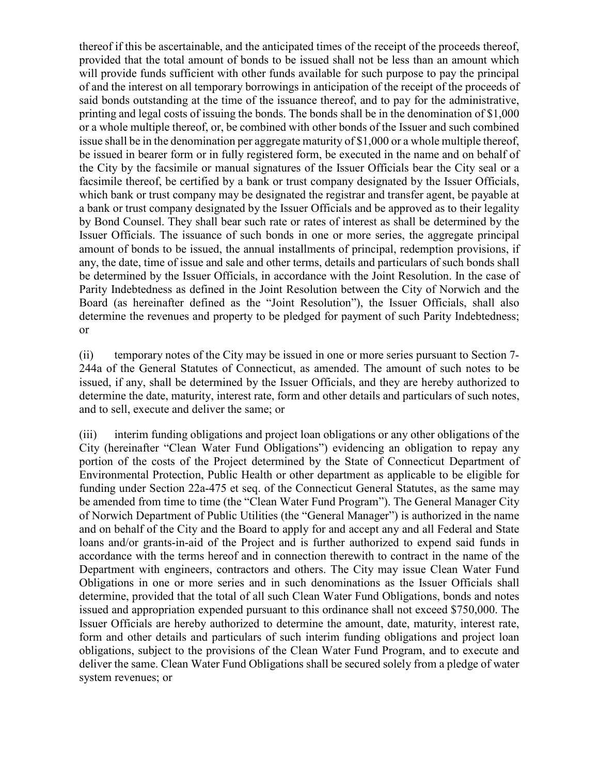thereof if this be ascertainable, and the anticipated times of the receipt of the proceeds thereof, provided that the total amount of bonds to be issued shall not be less than an amount which will provide funds sufficient with other funds available for such purpose to pay the principal of and the interest on all temporary borrowings in anticipation of the receipt of the proceeds of said bonds outstanding at the time of the issuance thereof, and to pay for the administrative, printing and legal costs of issuing the bonds. The bonds shall be in the denomination of \$1,000 or a whole multiple thereof, or, be combined with other bonds of the Issuer and such combined issue shall be in the denomination per aggregate maturity of \$1,000 or a whole multiple thereof, be issued in bearer form or in fully registered form, be executed in the name and on behalf of the City by the facsimile or manual signatures of the Issuer Officials bear the City seal or a facsimile thereof, be certified by a bank or trust company designated by the Issuer Officials, which bank or trust company may be designated the registrar and transfer agent, be payable at a bank or trust company designated by the Issuer Officials and be approved as to their legality by Bond Counsel. They shall bear such rate or rates of interest as shall be determined by the Issuer Officials. The issuance of such bonds in one or more series, the aggregate principal amount of bonds to be issued, the annual installments of principal, redemption provisions, if any, the date, time of issue and sale and other terms, details and particulars of such bonds shall be determined by the Issuer Officials, in accordance with the Joint Resolution. In the case of Parity Indebtedness as defined in the Joint Resolution between the City of Norwich and the Board (as hereinafter defined as the "Joint Resolution"), the Issuer Officials, shall also determine the revenues and property to be pledged for payment of such Parity Indebtedness; or

(ii) temporary notes of the City may be issued in one or more series pursuant to Section 7- 244a of the General Statutes of Connecticut, as amended. The amount of such notes to be issued, if any, shall be determined by the Issuer Officials, and they are hereby authorized to determine the date, maturity, interest rate, form and other details and particulars of such notes, and to sell, execute and deliver the same; or

(iii) interim funding obligations and project loan obligations or any other obligations of the City (hereinafter "Clean Water Fund Obligations") evidencing an obligation to repay any portion of the costs of the Project determined by the State of Connecticut Department of Environmental Protection, Public Health or other department as applicable to be eligible for funding under Section 22a-475 et seq. of the Connecticut General Statutes, as the same may be amended from time to time (the "Clean Water Fund Program"). The General Manager City of Norwich Department of Public Utilities (the "General Manager") is authorized in the name and on behalf of the City and the Board to apply for and accept any and all Federal and State loans and/or grants-in-aid of the Project and is further authorized to expend said funds in accordance with the terms hereof and in connection therewith to contract in the name of the Department with engineers, contractors and others. The City may issue Clean Water Fund Obligations in one or more series and in such denominations as the Issuer Officials shall determine, provided that the total of all such Clean Water Fund Obligations, bonds and notes issued and appropriation expended pursuant to this ordinance shall not exceed \$750,000. The Issuer Officials are hereby authorized to determine the amount, date, maturity, interest rate, form and other details and particulars of such interim funding obligations and project loan obligations, subject to the provisions of the Clean Water Fund Program, and to execute and deliver the same. Clean Water Fund Obligations shall be secured solely from a pledge of water system revenues; or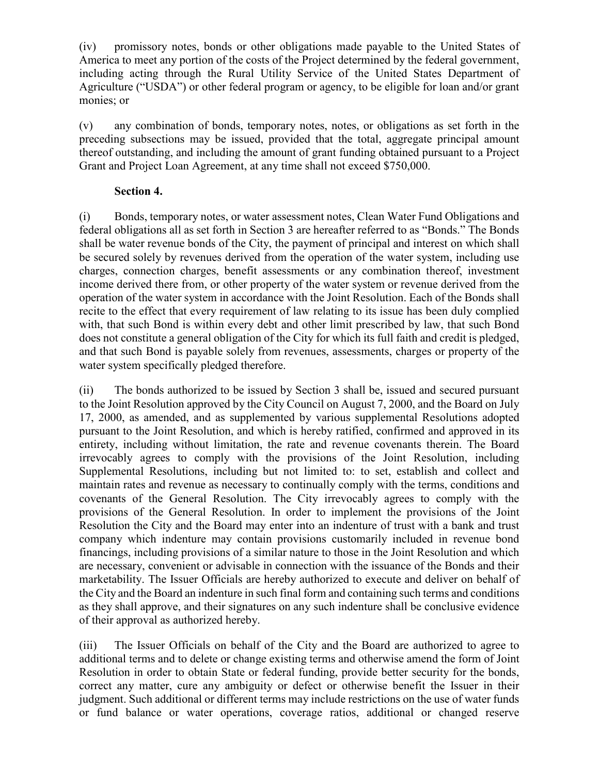(iv) promissory notes, bonds or other obligations made payable to the United States of America to meet any portion of the costs of the Project determined by the federal government, including acting through the Rural Utility Service of the United States Department of Agriculture ("USDA") or other federal program or agency, to be eligible for loan and/or grant monies; or

(v) any combination of bonds, temporary notes, notes, or obligations as set forth in the preceding subsections may be issued, provided that the total, aggregate principal amount thereof outstanding, and including the amount of grant funding obtained pursuant to a Project Grant and Project Loan Agreement, at any time shall not exceed \$750,000.

## **Section 4.**

(i) Bonds, temporary notes, or water assessment notes, Clean Water Fund Obligations and federal obligations all as set forth in Section 3 are hereafter referred to as "Bonds." The Bonds shall be water revenue bonds of the City, the payment of principal and interest on which shall be secured solely by revenues derived from the operation of the water system, including use charges, connection charges, benefit assessments or any combination thereof, investment income derived there from, or other property of the water system or revenue derived from the operation of the water system in accordance with the Joint Resolution. Each of the Bonds shall recite to the effect that every requirement of law relating to its issue has been duly complied with, that such Bond is within every debt and other limit prescribed by law, that such Bond does not constitute a general obligation of the City for which its full faith and credit is pledged, and that such Bond is payable solely from revenues, assessments, charges or property of the water system specifically pledged therefore.

(ii) The bonds authorized to be issued by Section 3 shall be, issued and secured pursuant to the Joint Resolution approved by the City Council on August 7, 2000, and the Board on July 17, 2000, as amended, and as supplemented by various supplemental Resolutions adopted pursuant to the Joint Resolution, and which is hereby ratified, confirmed and approved in its entirety, including without limitation, the rate and revenue covenants therein. The Board irrevocably agrees to comply with the provisions of the Joint Resolution, including Supplemental Resolutions, including but not limited to: to set, establish and collect and maintain rates and revenue as necessary to continually comply with the terms, conditions and covenants of the General Resolution. The City irrevocably agrees to comply with the provisions of the General Resolution. In order to implement the provisions of the Joint Resolution the City and the Board may enter into an indenture of trust with a bank and trust company which indenture may contain provisions customarily included in revenue bond financings, including provisions of a similar nature to those in the Joint Resolution and which are necessary, convenient or advisable in connection with the issuance of the Bonds and their marketability. The Issuer Officials are hereby authorized to execute and deliver on behalf of the City and the Board an indenture in such final form and containing such terms and conditions as they shall approve, and their signatures on any such indenture shall be conclusive evidence of their approval as authorized hereby.

(iii) The Issuer Officials on behalf of the City and the Board are authorized to agree to additional terms and to delete or change existing terms and otherwise amend the form of Joint Resolution in order to obtain State or federal funding, provide better security for the bonds, correct any matter, cure any ambiguity or defect or otherwise benefit the Issuer in their judgment. Such additional or different terms may include restrictions on the use of water funds or fund balance or water operations, coverage ratios, additional or changed reserve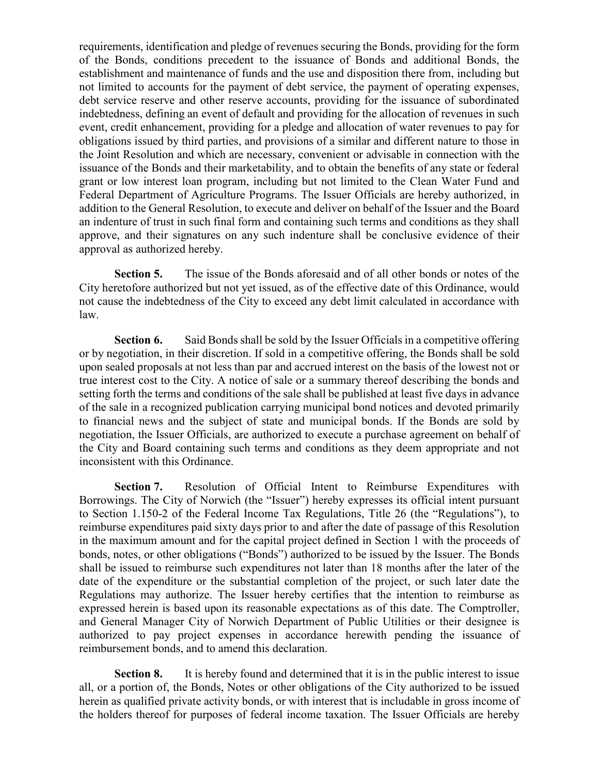requirements, identification and pledge of revenues securing the Bonds, providing for the form of the Bonds, conditions precedent to the issuance of Bonds and additional Bonds, the establishment and maintenance of funds and the use and disposition there from, including but not limited to accounts for the payment of debt service, the payment of operating expenses, debt service reserve and other reserve accounts, providing for the issuance of subordinated indebtedness, defining an event of default and providing for the allocation of revenues in such event, credit enhancement, providing for a pledge and allocation of water revenues to pay for obligations issued by third parties, and provisions of a similar and different nature to those in the Joint Resolution and which are necessary, convenient or advisable in connection with the issuance of the Bonds and their marketability, and to obtain the benefits of any state or federal grant or low interest loan program, including but not limited to the Clean Water Fund and Federal Department of Agriculture Programs. The Issuer Officials are hereby authorized, in addition to the General Resolution, to execute and deliver on behalf of the Issuer and the Board an indenture of trust in such final form and containing such terms and conditions as they shall approve, and their signatures on any such indenture shall be conclusive evidence of their approval as authorized hereby.

**Section 5.** The issue of the Bonds aforesaid and of all other bonds or notes of the City heretofore authorized but not yet issued, as of the effective date of this Ordinance, would not cause the indebtedness of the City to exceed any debt limit calculated in accordance with law.

**Section 6.** Said Bonds shall be sold by the Issuer Officials in a competitive offering or by negotiation, in their discretion. If sold in a competitive offering, the Bonds shall be sold upon sealed proposals at not less than par and accrued interest on the basis of the lowest not or true interest cost to the City. A notice of sale or a summary thereof describing the bonds and setting forth the terms and conditions of the sale shall be published at least five days in advance of the sale in a recognized publication carrying municipal bond notices and devoted primarily to financial news and the subject of state and municipal bonds. If the Bonds are sold by negotiation, the Issuer Officials, are authorized to execute a purchase agreement on behalf of the City and Board containing such terms and conditions as they deem appropriate and not inconsistent with this Ordinance.

**Section 7.** Resolution of Official Intent to Reimburse Expenditures with Borrowings. The City of Norwich (the "Issuer") hereby expresses its official intent pursuant to Section 1.150-2 of the Federal Income Tax Regulations, Title 26 (the "Regulations"), to reimburse expenditures paid sixty days prior to and after the date of passage of this Resolution in the maximum amount and for the capital project defined in Section 1 with the proceeds of bonds, notes, or other obligations ("Bonds") authorized to be issued by the Issuer. The Bonds shall be issued to reimburse such expenditures not later than 18 months after the later of the date of the expenditure or the substantial completion of the project, or such later date the Regulations may authorize. The Issuer hereby certifies that the intention to reimburse as expressed herein is based upon its reasonable expectations as of this date. The Comptroller, and General Manager City of Norwich Department of Public Utilities or their designee is authorized to pay project expenses in accordance herewith pending the issuance of reimbursement bonds, and to amend this declaration.

**Section 8.** It is hereby found and determined that it is in the public interest to issue all, or a portion of, the Bonds, Notes or other obligations of the City authorized to be issued herein as qualified private activity bonds, or with interest that is includable in gross income of the holders thereof for purposes of federal income taxation. The Issuer Officials are hereby